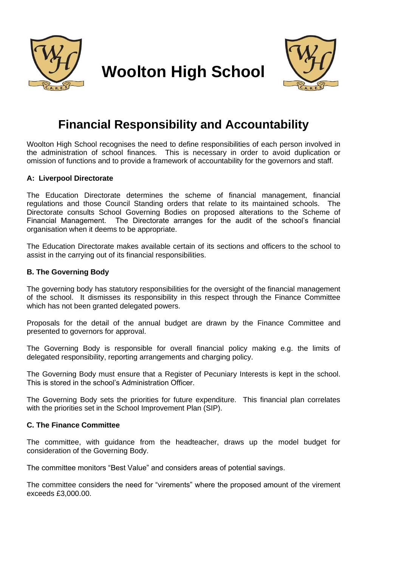

# **Woolton High School**



### **Financial Responsibility and Accountability**

Woolton High School recognises the need to define responsibilities of each person involved in the administration of school finances. This is necessary in order to avoid duplication or omission of functions and to provide a framework of accountability for the governors and staff.

#### **A: Liverpool Directorate**

The Education Directorate determines the scheme of financial management, financial regulations and those Council Standing orders that relate to its maintained schools. The Directorate consults School Governing Bodies on proposed alterations to the Scheme of Financial Management. The Directorate arranges for the audit of the school's financial organisation when it deems to be appropriate.

The Education Directorate makes available certain of its sections and officers to the school to assist in the carrying out of its financial responsibilities.

#### **B. The Governing Body**

The governing body has statutory responsibilities for the oversight of the financial management of the school. It dismisses its responsibility in this respect through the Finance Committee which has not been granted delegated powers.

Proposals for the detail of the annual budget are drawn by the Finance Committee and presented to governors for approval.

The Governing Body is responsible for overall financial policy making e.g. the limits of delegated responsibility, reporting arrangements and charging policy.

The Governing Body must ensure that a Register of Pecuniary Interests is kept in the school. This is stored in the school's Administration Officer.

The Governing Body sets the priorities for future expenditure. This financial plan correlates with the priorities set in the School Improvement Plan (SIP).

#### **C. The Finance Committee**

The committee, with guidance from the headteacher, draws up the model budget for consideration of the Governing Body.

The committee monitors "Best Value" and considers areas of potential savings.

The committee considers the need for "virements" where the proposed amount of the virement exceeds £3,000.00.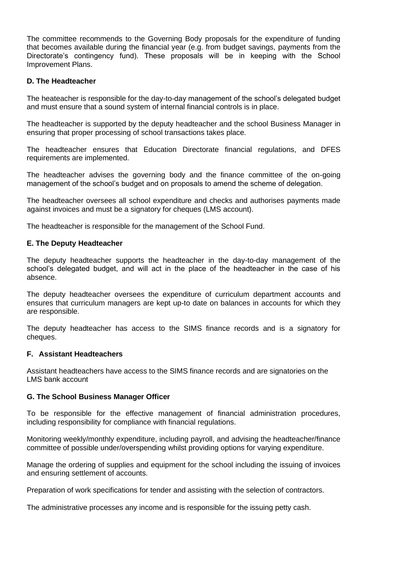The committee recommends to the Governing Body proposals for the expenditure of funding that becomes available during the financial year (e.g. from budget savings, payments from the Directorate's contingency fund). These proposals will be in keeping with the School Improvement Plans.

#### **D. The Headteacher**

The heateacher is responsible for the day-to-day management of the school's delegated budget and must ensure that a sound system of internal financial controls is in place.

The headteacher is supported by the deputy headteacher and the school Business Manager in ensuring that proper processing of school transactions takes place.

The headteacher ensures that Education Directorate financial regulations, and DFES requirements are implemented.

The headteacher advises the governing body and the finance committee of the on-going management of the school's budget and on proposals to amend the scheme of delegation.

The headteacher oversees all school expenditure and checks and authorises payments made against invoices and must be a signatory for cheques (LMS account).

The headteacher is responsible for the management of the School Fund.

#### **E. The Deputy Headteacher**

The deputy headteacher supports the headteacher in the day-to-day management of the school's delegated budget, and will act in the place of the headteacher in the case of his absence.

The deputy headteacher oversees the expenditure of curriculum department accounts and ensures that curriculum managers are kept up-to date on balances in accounts for which they are responsible.

The deputy headteacher has access to the SIMS finance records and is a signatory for cheques.

#### **F. Assistant Headteachers**

Assistant headteachers have access to the SIMS finance records and are signatories on the LMS bank account

#### **G. The School Business Manager Officer**

To be responsible for the effective management of financial administration procedures, including responsibility for compliance with financial regulations.

Monitoring weekly/monthly expenditure, including payroll, and advising the headteacher/finance committee of possible under/overspending whilst providing options for varying expenditure.

Manage the ordering of supplies and equipment for the school including the issuing of invoices and ensuring settlement of accounts.

Preparation of work specifications for tender and assisting with the selection of contractors.

The administrative processes any income and is responsible for the issuing petty cash.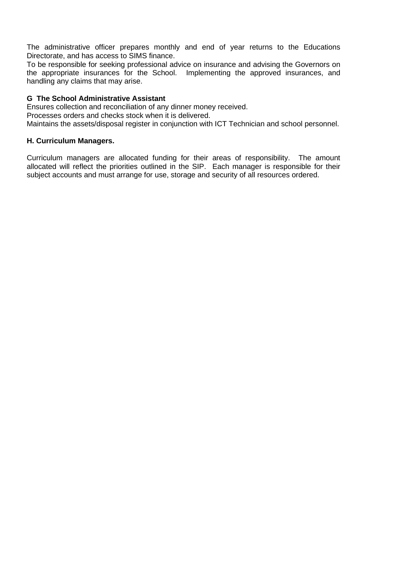The administrative officer prepares monthly and end of year returns to the Educations Directorate, and has access to SIMS finance.

To be responsible for seeking professional advice on insurance and advising the Governors on the appropriate insurances for the School. Implementing the approved insurances, and handling any claims that may arise.

#### **G The School Administrative Assistant**

Ensures collection and reconciliation of any dinner money received. Processes orders and checks stock when it is delivered. Maintains the assets/disposal register in conjunction with ICT Technician and school personnel.

#### **H. Curriculum Managers.**

Curriculum managers are allocated funding for their areas of responsibility. The amount allocated will reflect the priorities outlined in the SIP. Each manager is responsible for their subject accounts and must arrange for use, storage and security of all resources ordered.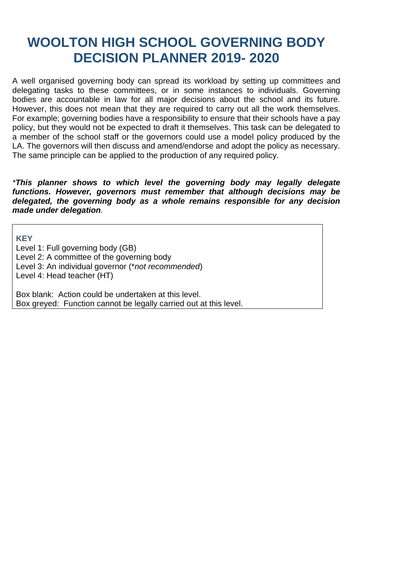## **WOOLTON HIGH SCHOOL GOVERNING BODY DECISION PLANNER 2019- 2020**

A well organised governing body can spread its workload by setting up committees and delegating tasks to these committees, or in some instances to individuals. Governing bodies are accountable in law for all major decisions about the school and its future. However, this does not mean that they are required to carry out all the work themselves. For example; governing bodies have a responsibility to ensure that their schools have a pay policy, but they would not be expected to draft it themselves. This task can be delegated to a member of the school staff or the governors could use a model policy produced by the LA. The governors will then discuss and amend/endorse and adopt the policy as necessary. The same principle can be applied to the production of any required policy.

*\*This planner shows to which level the governing body may legally delegate functions. However, governors must remember that although decisions may be delegated, the governing body as a whole remains responsible for any decision made under delegation.*

**KEY** Level 1: Full governing body (GB) Level 2: A committee of the governing body Level 3: An individual governor (\**not recommended*) Level 4: Head teacher (HT)

Box blank: Action could be undertaken at this level. Box greyed: Function cannot be legally carried out at this level.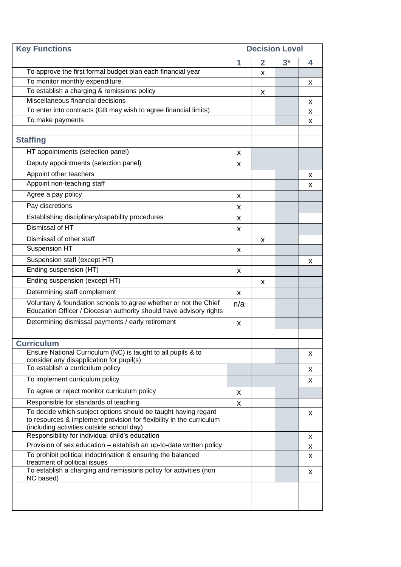| <b>Key Functions</b>                                                                                                                                                                | <b>Decision Level</b> |                |      |   |
|-------------------------------------------------------------------------------------------------------------------------------------------------------------------------------------|-----------------------|----------------|------|---|
|                                                                                                                                                                                     | 1                     | $\overline{2}$ | $3*$ | 4 |
| To approve the first formal budget plan each financial year                                                                                                                         |                       | x              |      |   |
| To monitor monthly expenditure.                                                                                                                                                     |                       |                |      | X |
| To establish a charging & remissions policy                                                                                                                                         |                       | X              |      |   |
| Miscellaneous financial decisions                                                                                                                                                   |                       |                |      | X |
| To enter into contracts (GB may wish to agree financial limits)                                                                                                                     |                       |                |      | X |
| To make payments                                                                                                                                                                    |                       |                |      | X |
| <b>Staffing</b>                                                                                                                                                                     |                       |                |      |   |
| HT appointments (selection panel)                                                                                                                                                   |                       |                |      |   |
|                                                                                                                                                                                     | X                     |                |      |   |
| Deputy appointments (selection panel)                                                                                                                                               | X                     |                |      |   |
| Appoint other teachers                                                                                                                                                              |                       |                |      | X |
| Appoint non-teaching staff                                                                                                                                                          |                       |                |      | X |
| Agree a pay policy                                                                                                                                                                  | X                     |                |      |   |
| Pay discretions                                                                                                                                                                     | x                     |                |      |   |
| Establishing disciplinary/capability procedures                                                                                                                                     | X                     |                |      |   |
| Dismissal of HT                                                                                                                                                                     | X                     |                |      |   |
| Dismissal of other staff                                                                                                                                                            |                       | X              |      |   |
| Suspension HT                                                                                                                                                                       | X                     |                |      |   |
| Suspension staff (except HT)                                                                                                                                                        |                       |                |      | x |
| Ending suspension (HT)                                                                                                                                                              | X                     |                |      |   |
| Ending suspension (except HT)                                                                                                                                                       |                       | x              |      |   |
| Determining staff complement                                                                                                                                                        | X                     |                |      |   |
| Voluntary & foundation schools to agree whether or not the Chief<br>Education Officer / Diocesan authority should have advisory rights                                              | n/a                   |                |      |   |
| Determining dismissal payments / early retirement                                                                                                                                   | X                     |                |      |   |
|                                                                                                                                                                                     |                       |                |      |   |
| <b>Curriculum</b>                                                                                                                                                                   |                       |                |      |   |
| Ensure National Curriculum (NC) is taught to all pupils & to<br>consider any disapplication for pupil(s)                                                                            |                       |                |      | x |
| To establish a curriculum policy                                                                                                                                                    |                       |                |      | X |
| To implement curriculum policy                                                                                                                                                      |                       |                |      | X |
| To agree or reject monitor curriculum policy                                                                                                                                        | X                     |                |      |   |
| Responsible for standards of teaching                                                                                                                                               | X                     |                |      |   |
| To decide which subject options should be taught having regard<br>to resources & implement provision for flexibility in the curriculum<br>(including activities outside school day) |                       |                |      | X |
| Responsibility for individual child's education                                                                                                                                     |                       |                |      | X |
| Provision of sex education - establish an up-to-date written policy                                                                                                                 |                       |                |      | X |
| To prohibit political indoctrination & ensuring the balanced<br>treatment of political issues                                                                                       |                       |                |      | X |
| To establish a charging and remissions policy for activities (non<br>NC based)                                                                                                      |                       |                |      | X |
|                                                                                                                                                                                     |                       |                |      |   |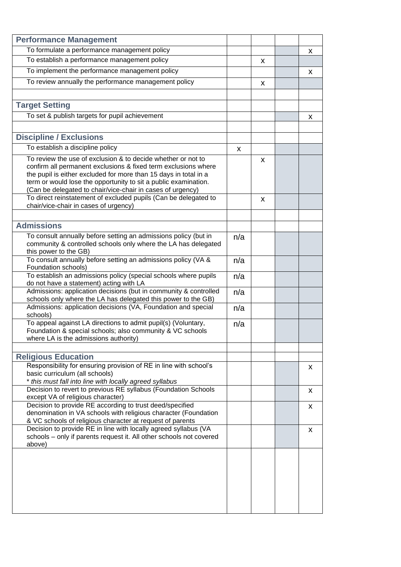| <b>Performance Management</b>                                                                                                                                                                                                                                                                                                       |     |   |   |
|-------------------------------------------------------------------------------------------------------------------------------------------------------------------------------------------------------------------------------------------------------------------------------------------------------------------------------------|-----|---|---|
| To formulate a performance management policy                                                                                                                                                                                                                                                                                        |     |   | x |
| To establish a performance management policy                                                                                                                                                                                                                                                                                        |     | X |   |
| To implement the performance management policy                                                                                                                                                                                                                                                                                      |     |   | X |
| To review annually the performance management policy                                                                                                                                                                                                                                                                                |     |   |   |
|                                                                                                                                                                                                                                                                                                                                     |     | X |   |
|                                                                                                                                                                                                                                                                                                                                     |     |   |   |
| <b>Target Setting</b>                                                                                                                                                                                                                                                                                                               |     |   |   |
| To set & publish targets for pupil achievement                                                                                                                                                                                                                                                                                      |     |   | X |
|                                                                                                                                                                                                                                                                                                                                     |     |   |   |
| <b>Discipline / Exclusions</b>                                                                                                                                                                                                                                                                                                      |     |   |   |
| To establish a discipline policy                                                                                                                                                                                                                                                                                                    | X   |   |   |
| To review the use of exclusion & to decide whether or not to<br>confirm all permanent exclusions & fixed term exclusions where<br>the pupil is either excluded for more than 15 days in total in a<br>term or would lose the opportunity to sit a public examination.<br>(Can be delegated to chair/vice-chair in cases of urgency) |     | X |   |
| To direct reinstatement of excluded pupils (Can be delegated to                                                                                                                                                                                                                                                                     |     | X |   |
| chair/vice-chair in cases of urgency)                                                                                                                                                                                                                                                                                               |     |   |   |
|                                                                                                                                                                                                                                                                                                                                     |     |   |   |
| <b>Admissions</b>                                                                                                                                                                                                                                                                                                                   |     |   |   |
| To consult annually before setting an admissions policy (but in<br>community & controlled schools only where the LA has delegated<br>this power to the GB)                                                                                                                                                                          | n/a |   |   |
| To consult annually before setting an admissions policy (VA &<br>Foundation schools)                                                                                                                                                                                                                                                | n/a |   |   |
| To establish an admissions policy (special schools where pupils<br>do not have a statement) acting with LA                                                                                                                                                                                                                          | n/a |   |   |
| Admissions: application decisions (but in community & controlled<br>schools only where the LA has delegated this power to the GB)                                                                                                                                                                                                   | n/a |   |   |
| Admissions: application decisions (VA, Foundation and special<br>schools)                                                                                                                                                                                                                                                           | n/a |   |   |
| To appeal against LA directions to admit pupil(s) (Voluntary,<br>Foundation & special schools; also community & VC schools<br>where LA is the admissions authority)                                                                                                                                                                 | n/a |   |   |
|                                                                                                                                                                                                                                                                                                                                     |     |   |   |
| <b>Religious Education</b>                                                                                                                                                                                                                                                                                                          |     |   |   |
| Responsibility for ensuring provision of RE in line with school's<br>basic curriculum (all schools)<br>* this must fall into line with locally agreed syllabus                                                                                                                                                                      |     |   | x |
| Decision to revert to previous RE syllabus (Foundation Schools<br>except VA of religious character)                                                                                                                                                                                                                                 |     |   | x |
| Decision to provide RE according to trust deed/specified<br>denomination in VA schools with religious character (Foundation                                                                                                                                                                                                         |     |   | X |
| & VC schools of religious character at request of parents<br>Decision to provide RE in line with locally agreed syllabus (VA<br>schools - only if parents request it. All other schools not covered<br>above)                                                                                                                       |     |   | x |
|                                                                                                                                                                                                                                                                                                                                     |     |   |   |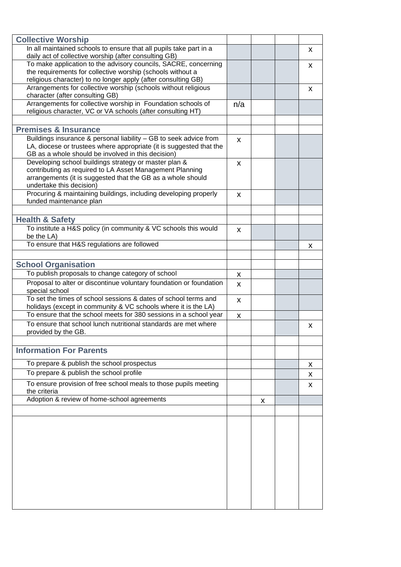| <b>Collective Worship</b>                                                                                                                                                                      |     |   |   |
|------------------------------------------------------------------------------------------------------------------------------------------------------------------------------------------------|-----|---|---|
| In all maintained schools to ensure that all pupils take part in a<br>daily act of collective worship (after consulting GB)                                                                    |     |   | x |
| To make application to the advisory councils, SACRE, concerning                                                                                                                                |     |   | x |
| the requirements for collective worship (schools without a                                                                                                                                     |     |   |   |
| religious character) to no longer apply (after consulting GB)<br>Arrangements for collective worship (schools without religious                                                                |     |   |   |
| character (after consulting GB)                                                                                                                                                                |     |   | X |
| Arrangements for collective worship in Foundation schools of                                                                                                                                   | n/a |   |   |
| religious character, VC or VA schools (after consulting HT)                                                                                                                                    |     |   |   |
|                                                                                                                                                                                                |     |   |   |
| <b>Premises &amp; Insurance</b>                                                                                                                                                                |     |   |   |
| Buildings insurance & personal liability - GB to seek advice from<br>LA, diocese or trustees where appropriate (it is suggested that the<br>GB as a whole should be involved in this decision) | X   |   |   |
| Developing school buildings strategy or master plan &                                                                                                                                          | x   |   |   |
| contributing as required to LA Asset Management Planning                                                                                                                                       |     |   |   |
| arrangements (it is suggested that the GB as a whole should                                                                                                                                    |     |   |   |
| undertake this decision)<br>Procuring & maintaining buildings, including developing properly                                                                                                   |     |   |   |
| funded maintenance plan                                                                                                                                                                        | X   |   |   |
|                                                                                                                                                                                                |     |   |   |
| <b>Health &amp; Safety</b>                                                                                                                                                                     |     |   |   |
| To institute a H&S policy (in community & VC schools this would                                                                                                                                | X   |   |   |
| be the LA)                                                                                                                                                                                     |     |   |   |
| To ensure that H&S regulations are followed                                                                                                                                                    |     |   | X |
|                                                                                                                                                                                                |     |   |   |
| <b>School Organisation</b>                                                                                                                                                                     |     |   |   |
| To publish proposals to change category of school                                                                                                                                              | X   |   |   |
| Proposal to alter or discontinue voluntary foundation or foundation<br>special school                                                                                                          | X   |   |   |
| To set the times of school sessions & dates of school terms and                                                                                                                                | X   |   |   |
| holidays (except in community & VC schools where it is the LA)                                                                                                                                 |     |   |   |
| To ensure that the school meets for 380 sessions in a school year<br>To ensure that school lunch nutritional standards are met where                                                           | X   |   |   |
| provided by the GB.                                                                                                                                                                            |     |   | x |
|                                                                                                                                                                                                |     |   |   |
| <b>Information For Parents</b>                                                                                                                                                                 |     |   |   |
|                                                                                                                                                                                                |     |   |   |
| To prepare & publish the school prospectus                                                                                                                                                     |     |   | X |
| To prepare & publish the school profile                                                                                                                                                        |     |   | x |
| To ensure provision of free school meals to those pupils meeting<br>the criteria                                                                                                               |     |   | X |
| Adoption & review of home-school agreements                                                                                                                                                    |     | X |   |
|                                                                                                                                                                                                |     |   |   |
|                                                                                                                                                                                                |     |   |   |
|                                                                                                                                                                                                |     |   |   |
|                                                                                                                                                                                                |     |   |   |
|                                                                                                                                                                                                |     |   |   |
|                                                                                                                                                                                                |     |   |   |
|                                                                                                                                                                                                |     |   |   |
|                                                                                                                                                                                                |     |   |   |
|                                                                                                                                                                                                |     |   |   |
|                                                                                                                                                                                                |     |   |   |
|                                                                                                                                                                                                |     |   |   |